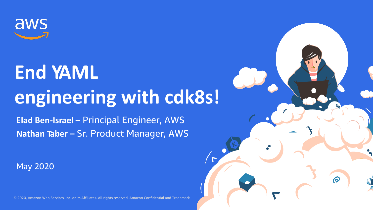

May 2020



# **End YAML engineering with cdk8s!**

**Elad Ben-Israel –** Principal Engineer, AWS **Nathan Taber –** Sr. Product Manager, AWS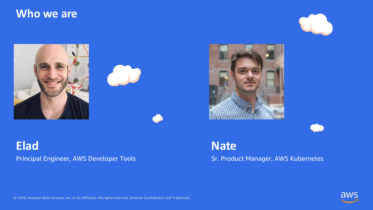





### **Who we are**







### **Elad** Principal Engineer, AWS Developer Tools

**Nate** Sr. Product Manager, AWS Kubernetes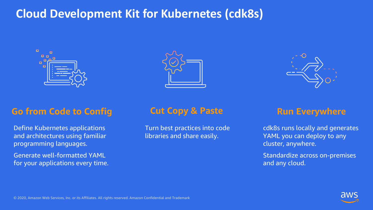



## **Cloud Development Kit for Kubernetes (cdk8s)**





### **Go from Code to Config <b>Cut Copy & Paste Run Everywhere**

Define Kubernetes applications and architectures using familiar programming languages.

Generate well-formatted YAML for your applications every time.

Turn best practices into code libraries and share easily.

cdk8s runs locally and generates YAML you can deploy to any cluster, anywhere.

Standardize across on-premises and any cloud.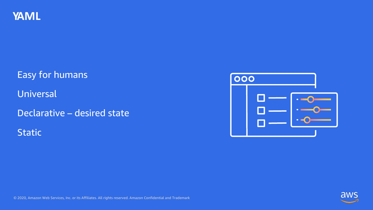





Easy for humans Universal Declarative – desired state Static

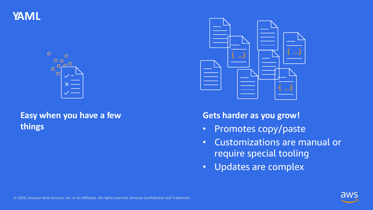

**YAML**



### **Easy when you have a few things**



**Gets harder as you grow!**

- Promotes copy/paste
- Customizations are manual or require special tooling
- Updates are complex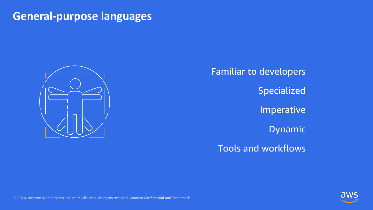



### **General-purpose languages**



Familiar to developers

Specialized

Imperative

Dynamic

Tools and workflows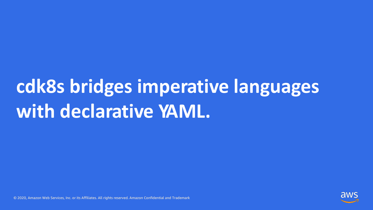



# **cdk8s bridges imperative languages with declarative YAML.**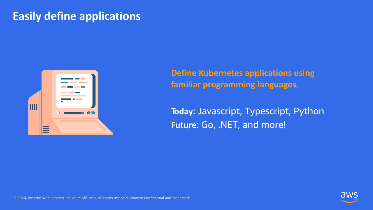

## **Easily define applications**



**Define Kubernetes applications using familiar programming languages.**

**Today**: Javascript, Typescript, Python **Future**: Go, .NET, and more!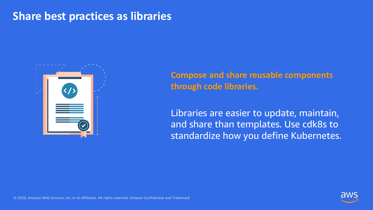

### **Share best practices as libraries**



**Compose and share reusable components through code libraries.**

Libraries are easier to update, maintain, and share than templates. Use cdk8s to standardize how you define Kubernetes.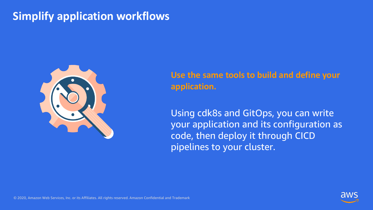

## **Simplify application workflows**



**Use the same tools to build and define your application.**

Using cdk8s and GitOps, you can write your application and its configuration as code, then deploy it through CICD pipelines to your cluster.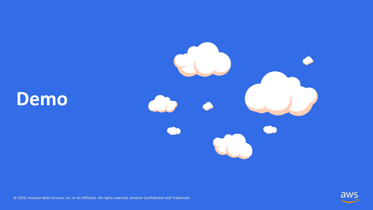



## **Demo**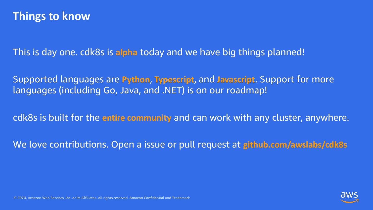

This is day one. cdk8s is **alpha** today and we have big things planned!

Supported languages are **Python**, **Typescript,** and **Javascript**. Support for more languages (including Go, Java, and .NET) is on our roadmap!

cdk8s is built for the **entire community** and can work with any cluster, anywhere.

We love contributions. Open a issue or pull request at **github.com/awslabs/cdk8s**